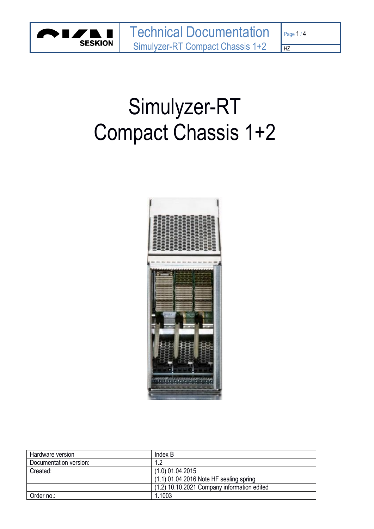

 $\overline{HZ}$ 

# Simulyzer-RT Compact Chassis 1+2



| Hardware version       | Index B                                     |
|------------------------|---------------------------------------------|
| Documentation version: | $1.2\,$                                     |
| Created:               | $(1.0)$ 01.04.2015                          |
|                        | $(1.1)$ 01.04.2016 Note HF sealing spring   |
|                        | (1.2) 10.10.2021 Company information edited |
| Order no.:             | 1.1003                                      |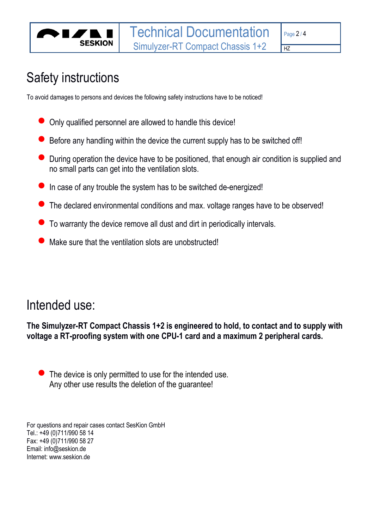$\overline{HZ}$ 

## Safety instructions

**SESKION** 

To avoid damages to persons and devices the following safety instructions have to be noticed!

- Only qualified personnel are allowed to handle this device!
- $\bullet$  Before any handling within the device the current supply has to be switched off!
- During operation the device have to be positioned, that enough air condition is supplied and no small parts can get into the ventilation slots.
- In case of any trouble the system has to be switched de-energized!
- The declared environmental conditions and max. voltage ranges have to be observed!
- To warranty the device remove all dust and dirt in periodically intervals.
- Make sure that the ventilation slots are unobstructed!

## Intended use:

**The Simulyzer-RT Compact Chassis 1+2 is engineered to hold, to contact and to supply with voltage a RT-proofing system with one CPU-1 card and a maximum 2 peripheral cards.**

The device is only permitted to use for the intended use. Any other use results the deletion of the guarantee!

For questions and repair cases contact SesKion GmbH Tel.: +49 (0)711/990 58 14 Fax: +49 (0)711/990 58 27 Email: info@seskion.de Internet: www.seskion.de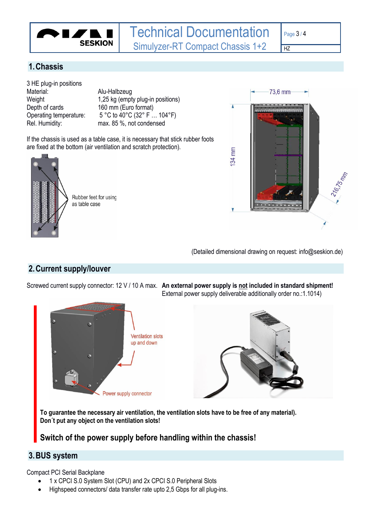

 $\overline{HZ}$ 

#### **1.Chassis**

3 HE plug-in positions Material: Alu-Halbzeug Depth of cards 160 mm (Euro format)

Weight 1,25 kg (empty plug-in positions) Operating temperature: 5 °C to 40°C (32° F … 104°F) Rel. Humidity: max. 85 %, not condensed

If the chassis is used as a table case, it is necessary that stick rubber foots are fixed at the bottom (air ventilation and scratch protection).



Rubber feet for using as table case



(Detailed dimensional drawing on request: info@seskion.de)

#### **2.Current supply/louver**

Screwed current supply connector: 12 V / 10 A max. **An external power supply is not included in standard shipment!** External power supply deliverable additionally order no.:1.1014)



**To guarantee the necessary air ventilation, the ventilation slots have to be free of any material). Don´t put any object on the ventilation slots!**

**Switch of the power supply before handling within the chassis!**

#### **3.BUS system**

Compact PCI Serial Backplane

- 1 x CPCI S.0 System Slot (CPU) and 2x CPCI S.0 Peripheral Slots
- Highspeed connectors/ data transfer rate upto 2,5 Gbps for all plug-ins.